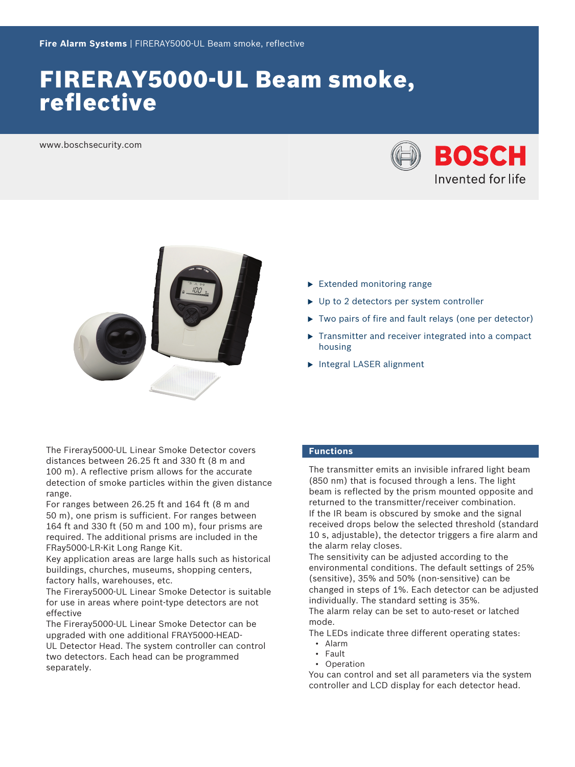# FIRERAY5000-UL Beam smoke, reflective

www.boschsecurity.com





- The Fireray5000‑UL Linear Smoke Detector covers distances between 26.25 ft and 330 ft (8 m and 100 m). A reflective prism allows for the accurate detection of smoke particles within the given distance range.
- For ranges between 26.25 ft and 164 ft (8 m and 50 m), one prism is sufficient. For ranges between 164 ft and 330 ft (50 m and 100 m), four prisms are required. The additional prisms are included in the FRay5000‑LR‑Kit Long Range Kit.
- Key application areas are large halls such as historical buildings, churches, museums, shopping centers, factory halls, warehouses, etc.
- The Fireray5000‑UL Linear Smoke Detector is suitable for use in areas where point-type detectors are not effective
- The Fireray5000-UL Linear Smoke Detector can be upgraded with one additional FRAY5000-HEAD-UL Detector Head. The system controller can control two detectors. Each head can be programmed separately.
- $\blacktriangleright$  Extended monitoring range
- $\triangleright$  Up to 2 detectors per system controller
- $\triangleright$  Two pairs of fire and fault relays (one per detector)
- $\triangleright$  Transmitter and receiver integrated into a compact housing
- $\blacktriangleright$  Integral LASER alignment

# **Functions**

The transmitter emits an invisible infrared light beam (850 nm) that is focused through a lens. The light beam is reflected by the prism mounted opposite and returned to the transmitter/receiver combination. If the IR beam is obscured by smoke and the signal received drops below the selected threshold (standard 10 s, adjustable), the detector triggers a fire alarm and the alarm relay closes.

The sensitivity can be adjusted according to the environmental conditions. The default settings of 25% (sensitive), 35% and 50% (non-sensitive) can be changed in steps of 1%. Each detector can be adjusted individually. The standard setting is 35%.

The alarm relay can be set to auto-reset or latched mode.

The LEDs indicate three different operating states:

- Alarm
- Fault
- Operation

You can control and set all parameters via the system controller and LCD display for each detector head.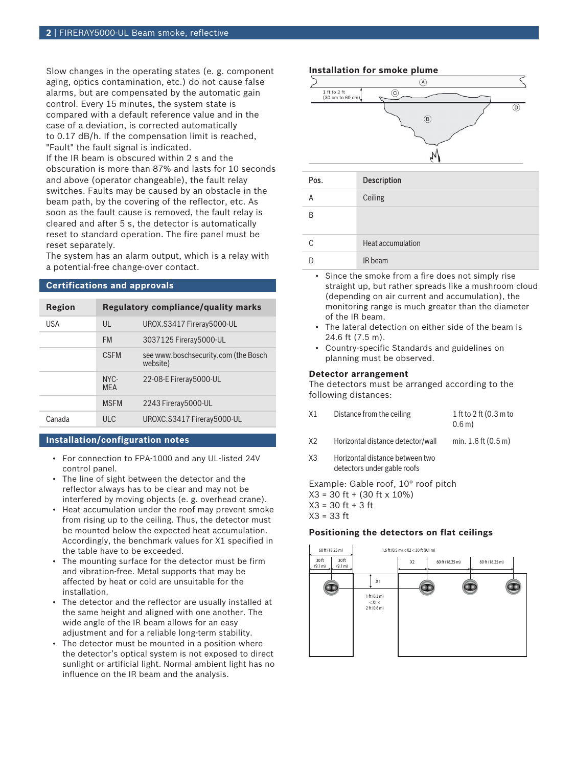Slow changes in the operating states (e. g. component aging, optics contamination, etc.) do not cause false alarms, but are compensated by the automatic gain control. Every 15 minutes, the system state is compared with a default reference value and in the case of a deviation, is corrected automatically to 0.17 dB/h. If the compensation limit is reached, "Fault" the fault signal is indicated.

If the IR beam is obscured within 2 s and the obscuration is more than 87% and lasts for 10 seconds and above (operator changeable), the fault relay switches. Faults may be caused by an obstacle in the beam path, by the covering of the reflector, etc. As soon as the fault cause is removed, the fault relay is cleared and after 5 s, the detector is automatically reset to standard operation. The fire panel must be reset separately.

The system has an alarm output, which is a relay with a potential-free change-over contact.

#### **Certifications and approvals**

| Region |                      | <b>Regulatory compliance/quality marks</b>       |
|--------|----------------------|--------------------------------------------------|
| USA    | $\mathsf{U}$         | UROX.S3417 Fireray5000-UL                        |
|        | <b>FM</b>            | 3037125 Fireray5000-UL                           |
|        | <b>CSEM</b>          | see www.boschsecurity.com (the Bosch<br>website) |
|        | $NYC-$<br><b>MFA</b> | 22-08-E Fireray 5000-UL                          |
|        | <b>MSFM</b>          | 2243 Fireray5000-UL                              |
| Canada | ULC.                 | UROXC.S3417 Fireray5000-UL                       |

# **Installation/configuration notes**

- For connection to FPA-1000 and any UL-listed 24V control panel.
- The line of sight between the detector and the reflector always has to be clear and may not be interfered by moving objects (e. g. overhead crane).
- Heat accumulation under the roof may prevent smoke from rising up to the ceiling. Thus, the detector must be mounted below the expected heat accumulation. Accordingly, the benchmark values for X1 specified in the table have to be exceeded.
- The mounting surface for the detector must be firm and vibration-free. Metal supports that may be affected by heat or cold are unsuitable for the installation.
- The detector and the reflector are usually installed at the same height and aligned with one another. The wide angle of the IR beam allows for an easy adjustment and for a reliable long-term stability.
- The detector must be mounted in a position where the detector's optical system is not exposed to direct sunlight or artificial light. Normal ambient light has no influence on the IR beam and the analysis.

#### **Installation for smoke plume**



D **IR beam** 

- Since the smoke from a fire does not simply rise straight up, but rather spreads like a mushroom cloud (depending on air current and accumulation), the monitoring range is much greater than the diameter of the IR beam.
- The lateral detection on either side of the beam is 24.6 ft (7.5 m).
- Country-specific Standards and guidelines on planning must be observed.

#### **Detector arrangement**

The detectors must be arranged according to the following distances:

| X1 | Distance from the ceiling | 1 ft to 2 ft (0.3 m to |
|----|---------------------------|------------------------|
|    |                           | 0.6 m                  |
|    |                           |                        |

- X2 Horizontal distance detector/wall min. 1.6 ft (0.5 m)
- X3 Horizontal distance between two detectors under gable roofs

Example: Gable roof, 10° roof pitch X3 = 30 ft + (30 ft x 10%)  $X3 = 30$  ft + 3 ft X3 = 33 ft

#### **Positioning the detectors on flat ceilings**

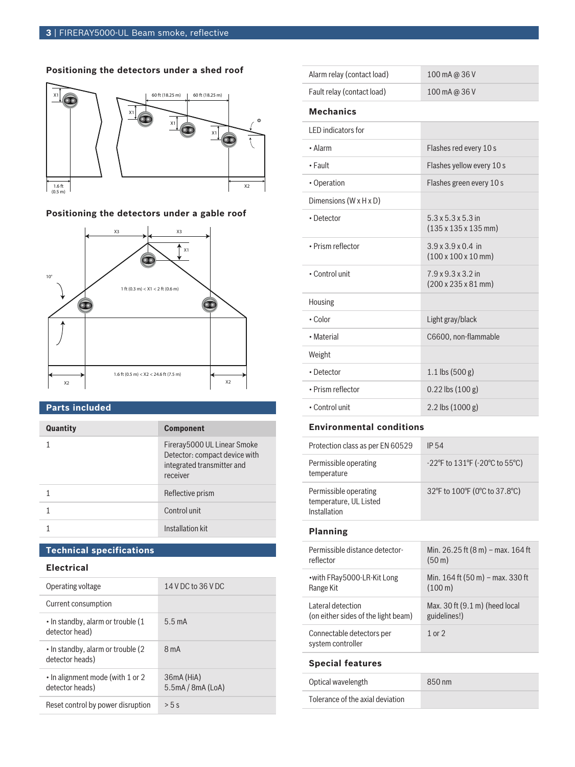# **Positioning the detectors under a shed roof**



# **Positioning the detectors under a gable roof**



# **Parts included**

| Quantity | <b>Component</b>                                                                                       |
|----------|--------------------------------------------------------------------------------------------------------|
|          | Fireray5000 UL Linear Smoke<br>Detector: compact device with<br>integrated transmitter and<br>receiver |
|          | Reflective prism                                                                                       |
|          | Control unit                                                                                           |
|          | Installation kit                                                                                       |

# **Technical specifications**

# **Electrical**

| Operating voltage                                     | 14 V DC to 36 V DC           |
|-------------------------------------------------------|------------------------------|
| Current consumption                                   |                              |
| • In standby, alarm or trouble (1<br>detector head)   | $5.5 \text{ mA}$             |
| • In standby, alarm or trouble (2)<br>detector heads) | $8m$ A                       |
| • In alignment mode (with 1 or 2<br>detector heads)   | 36mA (HiA)<br>5.5mA/8mA(LoA) |
| Reset control by power disruption                     | > 5s                         |

| 100 mA @ 36 V                                                              |
|----------------------------------------------------------------------------|
| 100 mA @ 36 V                                                              |
|                                                                            |
|                                                                            |
| Flashes red every 10 s                                                     |
| Flashes yellow every 10 s                                                  |
| Flashes green every 10 s                                                   |
|                                                                            |
| $5.3 \times 5.3 \times 5.3$ in<br>$(135 \times 135 \times 135 \text{ mm})$ |
| $3.9 \times 3.9 \times 0.4$ in<br>$(100 \times 100 \times 10 \text{ mm})$  |
| 7.9 x 9.3 x 3.2 in<br>$(200 \times 235 \times 81 \text{ mm})$              |
|                                                                            |
| Light gray/black                                                           |
| C6600, non-flammable                                                       |
|                                                                            |
| $1.1$ lbs $(500 g)$                                                        |
| $0.22$ lbs $(100 g)$                                                       |
| $2.2$ lbs $(1000 g)$                                                       |
|                                                                            |

# **Environmental conditions**

| Protection class as per EN 60529                                | IP 54                                                                     |
|-----------------------------------------------------------------|---------------------------------------------------------------------------|
| Permissible operating<br>temperature                            | $-22^{\circ}$ F to 131 $^{\circ}$ F ( $-20^{\circ}$ C to 55 $^{\circ}$ C) |
| Permissible operating<br>temperature, UL Listed<br>Installation | 32°F to 100°F (0°C to 37.8°C)                                             |

# **Planning**

| Permissible distance detector-                 | Min. 26.25 ft (8 m) – max. 164 ft        |
|------------------------------------------------|------------------------------------------|
| reflector                                      | (50 <sub>m</sub> )                       |
| • with FRay 5000-LR-Kit Long                   | Min. 164 ft (50 m) – max. 330 ft         |
| Range Kit                                      | $(100 \,\mathrm{m})$                     |
| Lateral detection                              | Max. 30 ft $(9.1 \text{ m})$ (heed local |
| (on either sides of the light beam)            | guidelines!)                             |
| Connectable detectors per<br>system controller | $1$ or $2$                               |
|                                                |                                          |

# **Special features**

| Optical wavelength               | 850 nm |
|----------------------------------|--------|
| Tolerance of the axial deviation |        |